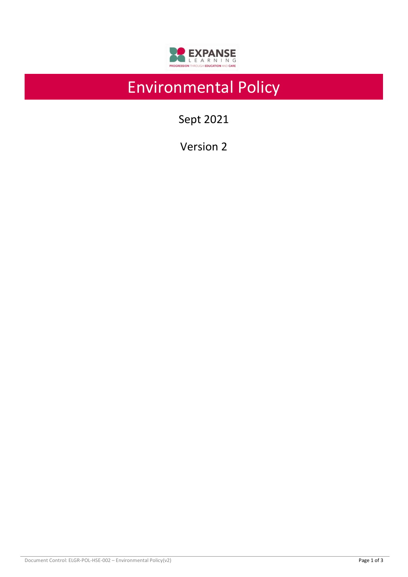

# Environmental Policy

Sept 2021

Version 2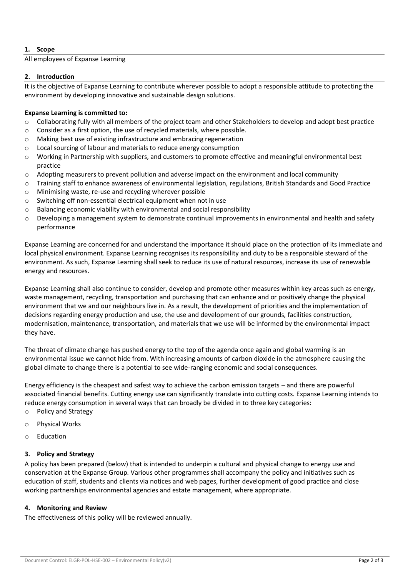# **1. Scope**

### All employees of Expanse Learning

## **2. Introduction**

It is the objective of Expanse Learning to contribute wherever possible to adopt a responsible attitude to protecting the environment by developing innovative and sustainable design solutions.

# **Expanse Learning is committed to:**

- o Collaborating fully with all members of the project team and other Stakeholders to develop and adopt best practice
- o Consider as a first option, the use of recycled materials, where possible.
- o Making best use of existing infrastructure and embracing regeneration
- o Local sourcing of labour and materials to reduce energy consumption
- o Working in Partnership with suppliers, and customers to promote effective and meaningful environmental best practice
- o Adopting measurers to prevent pollution and adverse impact on the environment and local community
- o Training staff to enhance awareness of environmental legislation, regulations, British Standards and Good Practice
- o Minimising waste, re-use and recycling wherever possible
- o Switching off non-essential electrical equipment when not in use
- o Balancing economic viability with environmental and social responsibility
- $\circ$  Developing a management system to demonstrate continual improvements in environmental and health and safety performance

Expanse Learning are concerned for and understand the importance it should place on the protection of its immediate and local physical environment. Expanse Learning recognises its responsibility and duty to be a responsible steward of the environment. As such, Expanse Learning shall seek to reduce its use of natural resources, increase its use of renewable energy and resources.

Expanse Learning shall also continue to consider, develop and promote other measures within key areas such as energy, waste management, recycling, transportation and purchasing that can enhance and or positively change the physical environment that we and our neighbours live in. As a result, the development of priorities and the implementation of decisions regarding energy production and use, the use and development of our grounds, facilities construction, modernisation, maintenance, transportation, and materials that we use will be informed by the environmental impact they have.

The threat of climate change has pushed energy to the top of the agenda once again and global warming is an environmental issue we cannot hide from. With increasing amounts of carbon dioxide in the atmosphere causing the global climate to change there is a potential to see wide-ranging economic and social consequences.

Energy efficiency is the cheapest and safest way to achieve the carbon emission targets – and there are powerful associated financial benefits. Cutting energy use can significantly translate into cutting costs. Expanse Learning intends to reduce energy consumption in several ways that can broadly be divided in to three key categories:

- o Policy and Strategy
- o Physical Works
- o Education

#### **3. Policy and Strategy**

A policy has been prepared (below) that is intended to underpin a cultural and physical change to energy use and conservation at the Expanse Group. Various other programmes shall accompany the policy and initiatives such as education of staff, students and clients via notices and web pages, further development of good practice and close working partnerships environmental agencies and estate management, where appropriate.

#### **4. Monitoring and Review**

The effectiveness of this policy will be reviewed annually.